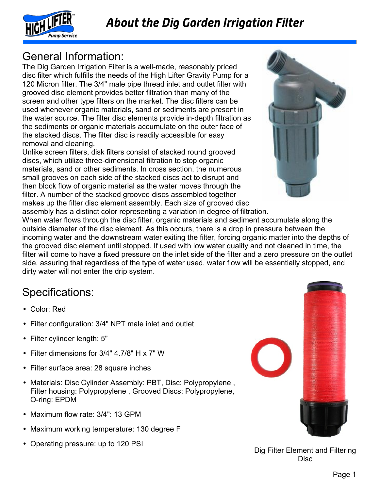



## General Information:

The Dig Garden Irrigation Filter is a well-made, reasonably priced disc filter which fulfills the needs of the High Lifter Gravity Pump for a 120 Micron filter. The 3/4" male pipe thread inlet and outlet filter with grooved disc element provides better filtration than many of the screen and other type filters on the market. The disc filters can be used whenever organic materials, sand or sediments are present in the water source. The filter disc elements provide in-depth filtration as the sediments or organic materials accumulate on the outer face of the stacked discs. The filter disc is readily accessible for easy removal and cleaning.

Unlike screen filters, disk filters consist of stacked round grooved discs, which utilize three-dimensional filtration to stop organic materials, sand or other sediments. In cross section, the numerous small grooves on each side of the stacked discs act to disrupt and then block flow of organic material as the water moves through the filter. A number of the stacked grooved discs assembled together makes up the filter disc element assembly. Each size of grooved disc assembly has a distinct color representing a variation in degree of filtration.



When water flows through the disc filter, organic materials and sediment accumulate along the outside diameter of the disc element. As this occurs, there is a drop in pressure between the incoming water and the downstream water exiting the filter, forcing organic matter into the depths of the grooved disc element until stopped. If used with low water quality and not cleaned in time, the filter will come to have a fixed pressure on the inlet side of the filter and a zero pressure on the outlet side, assuring that regardless of the type of water used, water flow will be essentially stopped, and dirty water will not enter the drip system.

## Specifications:

- Color: Red
- Filter configuration: 3/4" NPT male inlet and outlet
- Filter cylinder length: 5"
- Filter dimensions for 3/4" 4.7/8" H x 7" W
- Filter surface area: 28 square inches
- Materials: Disc Cylinder Assembly: PBT, Disc: Polypropylene, Filter housing: Polypropylene , Grooved Discs: Polypropylene, O-ring: EPDM
- Maximum flow rate: 3/4": 13 GPM
- Maximum working temperature: 130 degree F
- Operating pressure: up to 120 PSI



Dig Filter Element and Filtering **Disc**